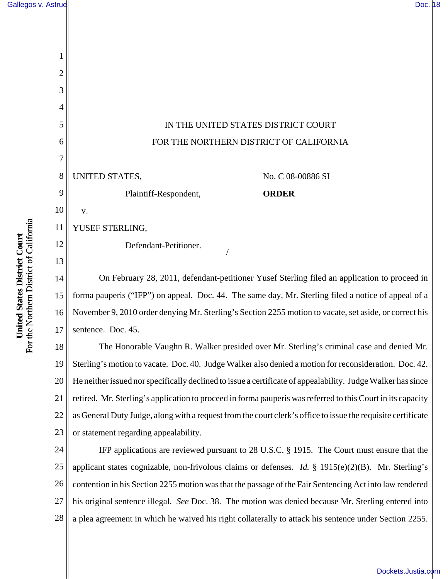

14 15 16 17 On February 28, 2011, defendant-petitioner Yusef Sterling filed an application to proceed in forma pauperis ("IFP") on appeal. Doc. 44. The same day, Mr. Sterling filed a notice of appeal of a November 9, 2010 order denying Mr. Sterling's Section 2255 motion to vacate, set aside, or correct his sentence. Doc. 45.

18 19 20 21 22 23 The Honorable Vaughn R. Walker presided over Mr. Sterling's criminal case and denied Mr. Sterling's motion to vacate. Doc. 40. Judge Walker also denied a motion for reconsideration. Doc. 42. He neither issued nor specifically declined to issue a certificate of appealability. Judge Walker has since retired. Mr. Sterling's application to proceed in forma pauperis was referred to this Court in its capacity as General Duty Judge, along with a request from the court clerk's office to issue the requisite certificate or statement regarding appealability.

24 25 26 27 28 IFP applications are reviewed pursuant to 28 U.S.C. § 1915. The Court must ensure that the applicant states cognizable, non-frivolous claims or defenses. *Id.* § 1915(e)(2)(B). Mr. Sterling's contention in his Section 2255 motion was that the passage of the Fair Sentencing Act into law rendered his original sentence illegal. *See* Doc. 38. The motion was denied because Mr. Sterling entered into a plea agreement in which he waived his right collaterally to attack his sentence under Section 2255.